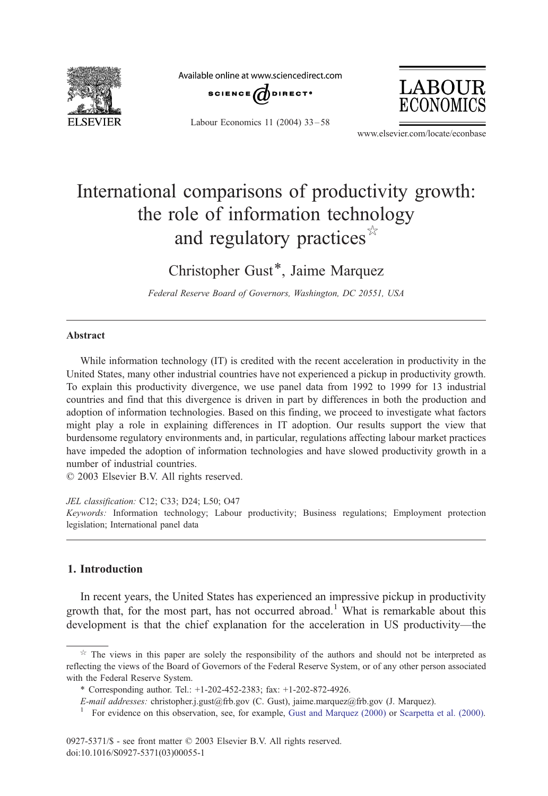

Available online at www.sciencedirect.com





Labour Economics 11 (2004) 33 – 58

www.elsevier.com/locate/econbase

## International comparisons of productivity growth: the role of information technology and regulatory practices  $\mathbb{R}$

Christopher Gust\*, Jaime Marquez

Federal Reserve Board of Governors, Washington, DC 20551, USA

## Abstract

While information technology (IT) is credited with the recent acceleration in productivity in the United States, many other industrial countries have not experienced a pickup in productivity growth. To explain this productivity divergence, we use panel data from 1992 to 1999 for 13 industrial countries and find that this divergence is driven in part by differences in both the production and adoption of information technologies. Based on this finding, we proceed to investigate what factors might play a role in explaining differences in IT adoption. Our results support the view that burdensome regulatory environments and, in particular, regulations affecting labour market practices have impeded the adoption of information technologies and have slowed productivity growth in a number of industrial countries.

 $\odot$  2003 Elsevier B.V. All rights reserved.

JEL classification: C12; C33; D24; L50; O47

Keywords: Information technology; Labour productivity; Business regulations; Employment protection legislation; International panel data

## 1. Introduction

In recent years, the United States has experienced an impressive pickup in productivity growth that, for the most part, has not occurred abroad.<sup>1</sup> What is remarkable about this development is that the chief explanation for the acceleration in US productivity—the

 $\dot{\gamma}$  The views in this paper are solely the responsibility of the authors and should not be interpreted as reflecting the views of the Board of Governors of the Federal Reserve System, or of any other person associated with the Federal Reserve System.

<sup>\*</sup> Corresponding author. Tel.: +1-202-452-2383; fax: +1-202-872-4926.

E-mail addresses: christopher.j.gust@frb.gov (C. Gust), jaime.marquez@frb.gov (J. Marquez).<br><sup>1</sup> For evidence on this observation, see, for example, [Gust and Marquez \(2000\)](#page--1-0) or [Scarpetta et al. \(2000\).](#page--1-0)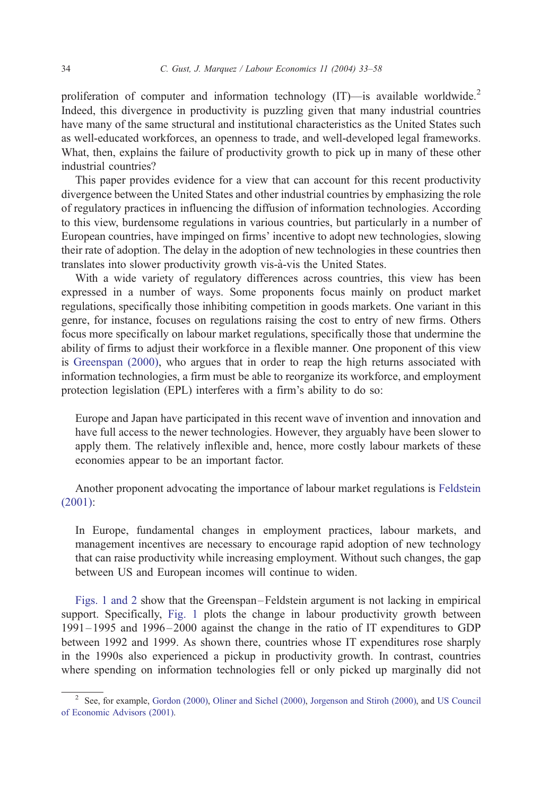proliferation of computer and information technology  $(IT)$ —is available worldwide.<sup>2</sup> Indeed, this divergence in productivity is puzzling given that many industrial countries have many of the same structural and institutional characteristics as the United States such as well-educated workforces, an openness to trade, and well-developed legal frameworks. What, then, explains the failure of productivity growth to pick up in many of these other industrial countries?

This paper provides evidence for a view that can account for this recent productivity divergence between the United States and other industrial countries by emphasizing the role of regulatory practices in influencing the diffusion of information technologies. According to this view, burdensome regulations in various countries, but particularly in a number of European countries, have impinged on firms' incentive to adopt new technologies, slowing their rate of adoption. The delay in the adoption of new technologies in these countries then translates into slower productivity growth vis-à-vis the United States.

With a wide variety of regulatory differences across countries, this view has been expressed in a number of ways. Some proponents focus mainly on product market regulations, specifically those inhibiting competition in goods markets. One variant in this genre, for instance, focuses on regulations raising the cost to entry of new firms. Others focus more specifically on labour market regulations, specifically those that undermine the ability of firms to adjust their workforce in a flexible manner. One proponent of this view is [Greenspan \(2000\),](#page--1-0) who argues that in order to reap the high returns associated with information technologies, a firm must be able to reorganize its workforce, and employment protection legislation (EPL) interferes with a firm's ability to do so:

Europe and Japan have participated in this recent wave of invention and innovation and have full access to the newer technologies. However, they arguably have been slower to apply them. The relatively inflexible and, hence, more costly labour markets of these economies appear to be an important factor.

Another proponent advocating the importance of labour market regulations is [Feldstein](#page--1-0) (2001):

In Europe, fundamental changes in employment practices, labour markets, and management incentives are necessary to encourage rapid adoption of new technology that can raise productivity while increasing employment. Without such changes, the gap between US and European incomes will continue to widen.

[Figs. 1 and 2](#page--1-0) show that the Greenspan –Feldstein argument is not lacking in empirical support. Specifically, [Fig. 1](#page--1-0) plots the change in labour productivity growth between 1991– 1995 and 1996 –2000 against the change in the ratio of IT expenditures to GDP between 1992 and 1999. As shown there, countries whose IT expenditures rose sharply in the 1990s also experienced a pickup in productivity growth. In contrast, countries where spending on information technologies fell or only picked up marginally did not

<sup>2</sup> See, for example, [Gordon \(2000\),](#page--1-0) [Oliner and Sichel \(2000\),](#page--1-0) [Jorgenson and Stiroh \(2000\),](#page--1-0) and [US Council](#page--1-0) of Economic Advisors (2001).